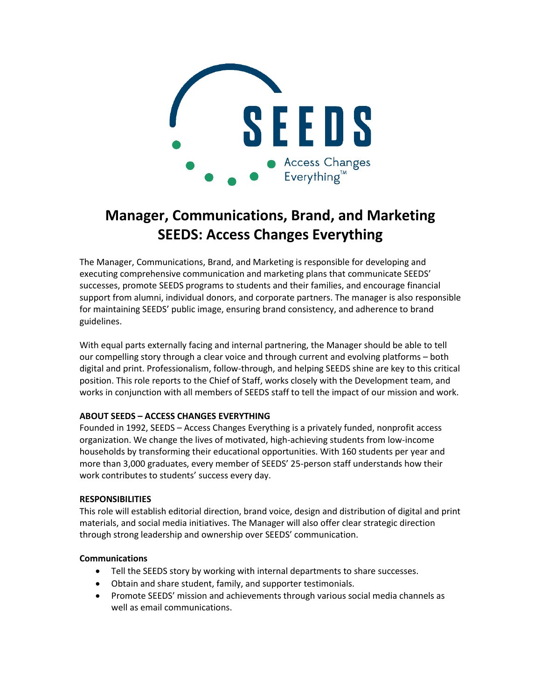

# **Manager, Communications, Brand, and Marketing SEEDS: Access Changes Everything**

The Manager, Communications, Brand, and Marketing is responsible for developing and executing comprehensive communication and marketing plans that communicate SEEDS' successes, promote SEEDS programs to students and their families, and encourage financial support from alumni, individual donors, and corporate partners. The manager is also responsible for maintaining SEEDS' public image, ensuring brand consistency, and adherence to brand guidelines.

With equal parts externally facing and internal partnering, the Manager should be able to tell our compelling story through a clear voice and through current and evolving platforms – both digital and print. Professionalism, follow-through, and helping SEEDS shine are key to this critical position. This role reports to the Chief of Staff, works closely with the Development team, and works in conjunction with all members of SEEDS staff to tell the impact of our mission and work.

## **ABOUT SEEDS – ACCESS CHANGES EVERYTHING**

Founded in 1992, SEEDS – Access Changes Everything is a privately funded, nonprofit access organization. We change the lives of motivated, high-achieving students from low-income households by transforming their educational opportunities. With 160 students per year and more than 3,000 graduates, every member of SEEDS' 25-person staff understands how their work contributes to students' success every day.

#### **RESPONSIBILITIES**

This role will establish editorial direction, brand voice, design and distribution of digital and print materials, and social media initiatives. The Manager will also offer clear strategic direction through strong leadership and ownership over SEEDS' communication.

#### **Communications**

- Tell the SEEDS story by working with internal departments to share successes.
- Obtain and share student, family, and supporter testimonials.
- Promote SEEDS' mission and achievements through various social media channels as well as email communications.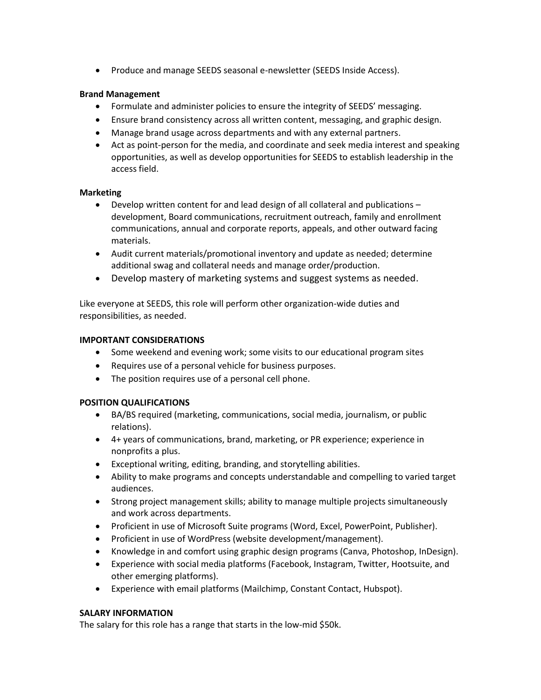• Produce and manage SEEDS seasonal e-newsletter (SEEDS Inside Access).

### **Brand Management**

- Formulate and administer policies to ensure the integrity of SEEDS' messaging.
- Ensure brand consistency across all written content, messaging, and graphic design.
- Manage brand usage across departments and with any external partners.
- Act as point-person for the media, and coordinate and seek media interest and speaking opportunities, as well as develop opportunities for SEEDS to establish leadership in the access field.

#### **Marketing**

- Develop written content for and lead design of all collateral and publications development, Board communications, recruitment outreach, family and enrollment communications, annual and corporate reports, appeals, and other outward facing materials.
- Audit current materials/promotional inventory and update as needed; determine additional swag and collateral needs and manage order/production.
- Develop mastery of marketing systems and suggest systems as needed.

Like everyone at SEEDS, this role will perform other organization-wide duties and responsibilities, as needed.

#### **IMPORTANT CONSIDERATIONS**

- Some weekend and evening work; some visits to our educational program sites
- Requires use of a personal vehicle for business purposes.
- The position requires use of a personal cell phone.

#### **POSITION QUALIFICATIONS**

- BA/BS required (marketing, communications, social media, journalism, or public relations).
- 4+ years of communications, brand, marketing, or PR experience; experience in nonprofits a plus.
- Exceptional writing, editing, branding, and storytelling abilities.
- Ability to make programs and concepts understandable and compelling to varied target audiences.
- Strong project management skills; ability to manage multiple projects simultaneously and work across departments.
- Proficient in use of Microsoft Suite programs (Word, Excel, PowerPoint, Publisher).
- Proficient in use of WordPress (website development/management).
- Knowledge in and comfort using graphic design programs (Canva, Photoshop, InDesign).
- Experience with social media platforms (Facebook, Instagram, Twitter, Hootsuite, and other emerging platforms).
- Experience with email platforms (Mailchimp, Constant Contact, Hubspot).

#### **SALARY INFORMATION**

The salary for this role has a range that starts in the low-mid \$50k.